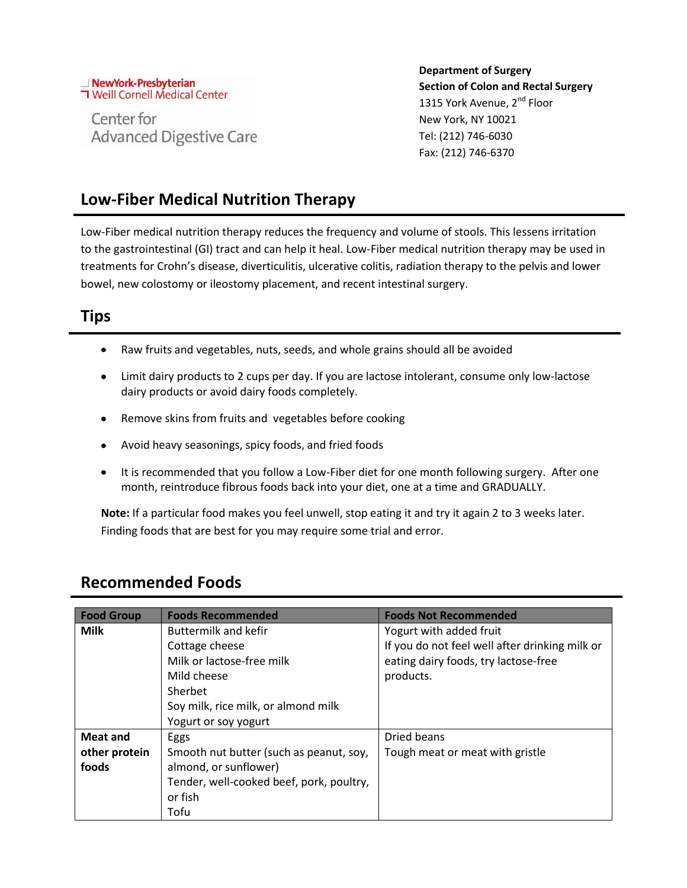### NewYork-Presbyterian **T** Weill Cornell Medical Center

Center for **Advanced Digestive Care**  **Department of Surgery Section of Colon and Rectal Surgery** 1315 York Avenue, 2<sup>nd</sup> Floor New York, NY 10021 Tel: (212) 746-6030 Fax: (212) 746-6370

## **Low-Fiber Medical Nutrition Therapy**

Low-Fiber medical nutrition therapy reduces the frequency and volume of stools. This lessens irritation to the gastrointestinal (GI) tract and can help it heal. Low-Fiber medical nutrition therapy may be used in treatments for Crohn's disease, diverticulitis, ulcerative colitis, radiation therapy to the pelvis and lower bowel, new colostomy or ileostomy placement, and recent intestinal surgery.

### **Tips**

- $\bullet$ Raw fruits and vegetables, nuts, seeds, and whole grains should all be avoided
- Limit dairy products to 2 cups per day. If you are lactose intolerant, consume only low-lactose dairy products or avoid dairy foods completely.
- Remove skins from fruits and vegetables before cooking
- Avoid heavy seasonings, spicy foods, and fried foods
- It is recommended that you follow a Low-Fiber diet for one month following surgery. After one month, reintroduce fibrous foods back into your diet, one at a time and GRADUALLY.

**Note:** If a particular food makes you feel unwell, stop eating it and try it again 2 to 3 weeks later. Finding foods that are best for you may require some trial and error.

#### **Food Group Foods Recommended Foods Not Recommended Milk Buttermilk and kefir** Cottage cheese Milk or lactose-free milk Mild cheese Sherbet Soy milk, rice milk, or almond milk Yogurt or soy yogurt Yogurt with added fruit If you do not feel well after drinking milk or eating dairy foods, try lactose-free products. **Meat and other protein foods** Eggs Smooth nut butter (such as peanut, soy, almond, or sunflower) Tender, well-cooked beef, pork, poultry, or fish Tofu Dried beans Tough meat or meat with gristle

### **Recommended Foods**